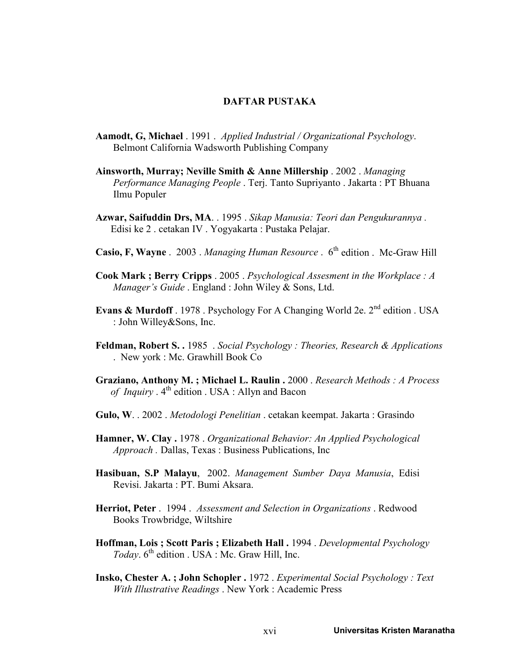## DAFTAR PUSTAKA

- Aamodt, G, Michael . 1991 . Applied Industrial / Organizational Psychology. Belmont California Wadsworth Publishing Company
- Ainsworth, Murray; Neville Smith & Anne Millership . 2002 . Managing Performance Managing People . Terj. Tanto Supriyanto . Jakarta : PT Bhuana Ilmu Populer
- Azwar, Saifuddin Drs, MA. . 1995 . Sikap Manusia: Teori dan Pengukurannya . Edisi ke 2 . cetakan IV . Yogyakarta : Pustaka Pelajar.
- Casio, F, Wayne . 2003 . Managing Human Resource . 6<sup>th</sup> edition . Mc-Graw Hill
- Cook Mark ; Berry Cripps . 2005 . Psychological Assesment in the Workplace : A Manager's Guide . England : John Wiley & Sons, Ltd.
- Evans & Murdoff . 1978 . Psychology For A Changing World 2e. 2<sup>nd</sup> edition . USA : John Willey&Sons, Inc.
- Feldman, Robert S. . 1985 . Social Psychology : Theories, Research & Applications . New york : Mc. Grawhill Book Co
- Graziano, Anthony M. ; Michael L. Raulin . 2000 . Research Methods : A Process of Inquiry  $.4<sup>th</sup>$  edition . USA : Allyn and Bacon
- Gulo, W. . 2002 . Metodologi Penelitian . cetakan keempat. Jakarta : Grasindo
- Hamner, W. Clay . 1978 . Organizational Behavior: An Applied Psychological Approach . Dallas, Texas : Business Publications, Inc
- Hasibuan, S.P Malayu, 2002. Management Sumber Daya Manusia, Edisi Revisi. Jakarta : PT. Bumi Aksara.
- Herriot, Peter . 1994 . Assessment and Selection in Organizations . Redwood Books Trowbridge, Wiltshire
- Hoffman, Lois ; Scott Paris ; Elizabeth Hall . 1994 . Developmental Psychology Today.  $6^{th}$  edition . USA : Mc. Graw Hill, Inc.
- Insko, Chester A. ; John Schopler . 1972 . Experimental Social Psychology : Text With Illustrative Readings . New York : Academic Press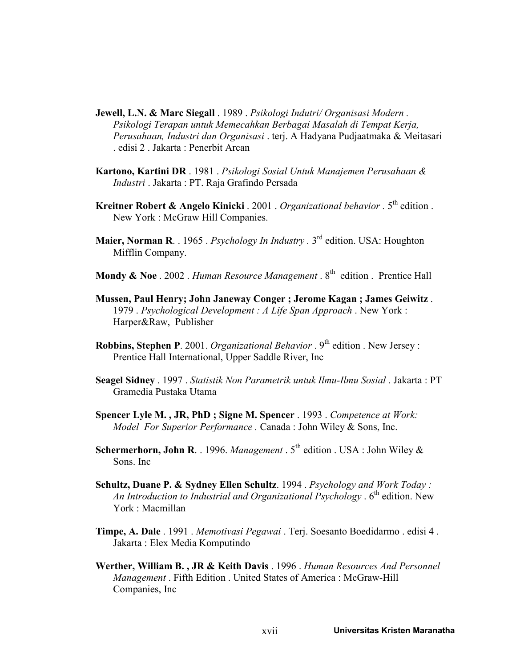- Jewell, L.N. & Marc Siegall . 1989 . Psikologi Indutri/ Organisasi Modern. Psikologi Terapan untuk Memecahkan Berbagai Masalah di Tempat Kerja, Perusahaan, Industri dan Organisasi . terj. A Hadyana Pudjaatmaka & Meitasari . edisi 2 . Jakarta : Penerbit Arcan
- Kartono, Kartini DR . 1981 . Psikologi Sosial Untuk Manajemen Perusahaan & Industri . Jakarta : PT. Raja Grafindo Persada
- Kreitner Robert & Angelo Kinicki . 2001 . Organizational behavior .  $5<sup>th</sup>$  edition . New York : McGraw Hill Companies.
- Maier, Norman R. . 1965 . Psychology In Industry . 3<sup>rd</sup> edition. USA: Houghton Mifflin Company.
- Mondy & Noe . 2002 . Human Resource Management .  $8<sup>th</sup>$  edition . Prentice Hall
- Mussen, Paul Henry; John Janeway Conger ; Jerome Kagan ; James Geiwitz . 1979 . Psychological Development : A Life Span Approach . New York : Harper&Raw, Publisher
- **Robbins, Stephen P**. 2001. Organizational Behavior .  $9<sup>th</sup>$  edition . New Jersey : Prentice Hall International, Upper Saddle River, Inc
- Seagel Sidney . 1997 . Statistik Non Parametrik untuk Ilmu-Ilmu Sosial . Jakarta : PT Gramedia Pustaka Utama
- Spencer Lyle M., JR, PhD; Signe M. Spencer . 1993 . Competence at Work: Model For Superior Performance. Canada: John Wiley & Sons, Inc.
- Schermerhorn, John R. . 1996. Management .  $5<sup>th</sup>$  edition . USA : John Wiley & Sons. Inc
- Schultz, Duane P. & Sydney Ellen Schultz. 1994 . Psychology and Work Today : An Introduction to Industrial and Organizational Psychology .  $6<sup>th</sup>$  edition. New York : Macmillan
- Timpe, A. Dale . 1991 . Memotivasi Pegawai . Terj. Soesanto Boedidarmo . edisi 4 . Jakarta : Elex Media Komputindo
- Werther, William B., JR & Keith Davis . 1996 . Human Resources And Personnel Management. Fifth Edition. United States of America: McGraw-Hill Companies, Inc